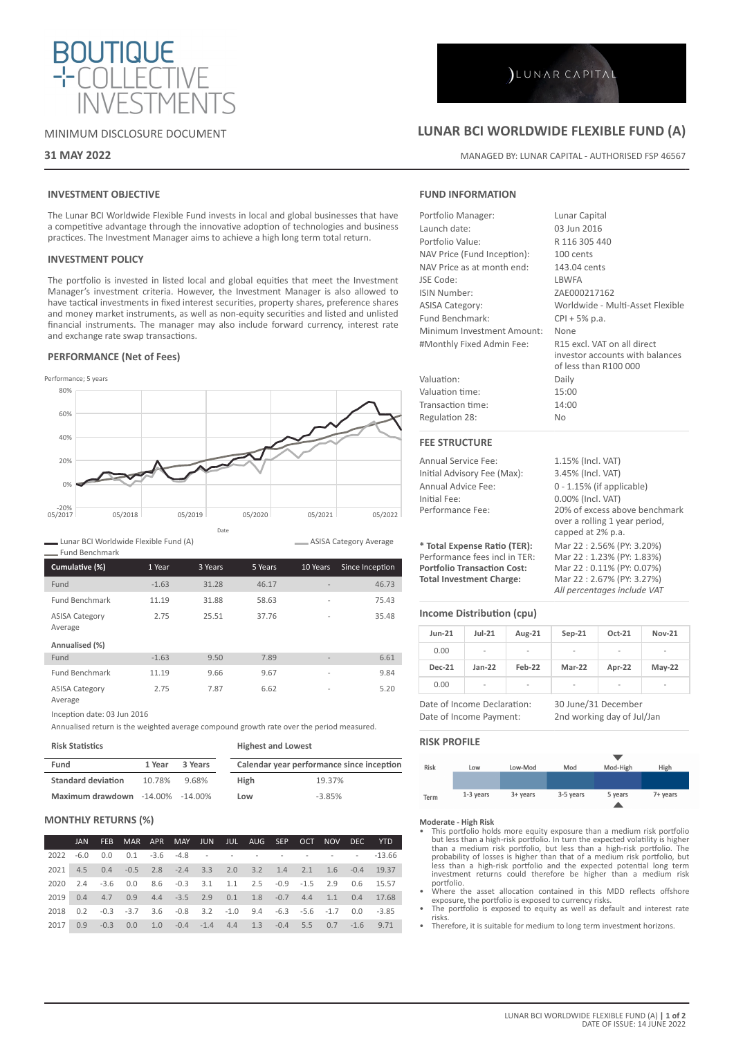

# MINIMUM DISCLOSURE DOCUMENT

## **31 MAY 2022**

# **INVESTMENT OBJECTIVE**

The Lunar BCI Worldwide Flexible Fund invests in local and global businesses that have a competitive advantage through the innovative adoption of technologies and business practices. The Investment Manager aims to achieve a high long term total return.

### **INVESTMENT POLICY**

The portfolio is invested in listed local and global equities that meet the Investment Manager's investment criteria. However, the Investment Manager is also allowed to have tactical investments in fixed interest securities, property shares, preference shares and money market instruments, as well as non-equity securities and listed and unlisted financial instruments. The manager may also include forward currency, interest rate and exchange rate swap transactions.

### **PERFORMANCE (Net of Fees)**

Performance; 5 years 20%-<br>05/2017 0% 20% 40% 60% 80% 05/2017 05/2018 05/2019 05/2020 05/2021 05/2022 Date

Lunar BCI Worldwide Flexible Fund (A)

| Cumulative (%)                   | 1 Year  | 3 Years | 5 Years | 10 Years       | Since Inception |
|----------------------------------|---------|---------|---------|----------------|-----------------|
| Fund                             | $-1.63$ | 31.28   | 46.17   |                | 46.73           |
| <b>Fund Benchmark</b>            | 11.19   | 31.88   | 58.63   | $\overline{a}$ | 75.43           |
| <b>ASISA Category</b><br>Average | 2.75    | 25.51   | 37.76   | $\overline{a}$ | 35.48           |
| Annualised (%)                   |         |         |         |                |                 |
| Fund                             | $-1.63$ | 9.50    | 7.89    |                | 6.61            |
| <b>Fund Benchmark</b>            | 11.19   | 9.66    | 9.67    | $\overline{a}$ | 9.84            |
| <b>ASISA Category</b><br>Average | 2.75    | 7.87    | 6.62    | $\overline{a}$ | 5.20            |

Inception date: 03 Jun 2016

Annualised return is the weighted average compound growth rate over the period measured.

| <b>Risk Statistics</b>                  |        |         | <b>Highest and Lowest</b> |                                           |  |  |
|-----------------------------------------|--------|---------|---------------------------|-------------------------------------------|--|--|
| Fund                                    | 1 Year | 3 Years |                           | Calendar year performance since inception |  |  |
| <b>Standard deviation</b>               | 10.78% | 9.68%   | <b>High</b>               | 19.37%                                    |  |  |
| <b>Maximum drawdown</b> -14.00% -14.00% |        |         | Low                       | $-3.85%$                                  |  |  |

### **MONTHLY RETURNS (%)**

|      | JAN |                                                                                     |  |  |  |  | FEB MAR APR MAY JUN JUL AUG SEP OCT NOV DEC YTD                           |
|------|-----|-------------------------------------------------------------------------------------|--|--|--|--|---------------------------------------------------------------------------|
|      |     |                                                                                     |  |  |  |  | 2022 -6.0 0.0 0.1 -3.6 -4.8 - - - - - - - - - - - -13.66                  |
|      |     |                                                                                     |  |  |  |  | 2021 4.5 0.4 -0.5 2.8 -2.4 3.3 2.0 3.2 1.4 2.1 1.6 -0.4 19.37             |
|      |     | 2020 2.4 -3.6 0.0 8.6 -0.3 3.1 1.1 2.5 -0.9 -1.5 2.9 0.6 15.57                      |  |  |  |  |                                                                           |
|      |     |                                                                                     |  |  |  |  | 2019  0.4  4.7  0.9  4.4  -3.5  2.9  0.1  1.8  -0.7  4.4  1.1  0.4  17.68 |
|      |     | 2018 0.2 -0.3 -3.7 3.6 -0.8 3.2 -1.0 9.4 -6.3 -5.6 -1.7 0.0 -3.85                   |  |  |  |  |                                                                           |
| 2017 |     | $0.9$ $-0.3$ $0.0$ $1.0$ $-0.4$ $-1.4$ $4.4$ $1.3$ $-0.4$ $5.5$ $0.7$ $-1.6$ $9.71$ |  |  |  |  |                                                                           |

# **LUNAR BCI WORLDWIDE FLEXIBLE FUND (A)**

MANAGED BY: LUNAR CAPITAL - AUTHORISED FSP 46567

# **FUND INFORMATION**

| Portfolio Manager:                 | Lunar Capital                                                                           |  |  |  |
|------------------------------------|-----------------------------------------------------------------------------------------|--|--|--|
| Launch date:                       | 03 Jun 2016                                                                             |  |  |  |
| Portfolio Value:                   | R 116 305 440                                                                           |  |  |  |
| NAV Price (Fund Inception):        | 100 cents                                                                               |  |  |  |
| NAV Price as at month end:         | 143.04 cents                                                                            |  |  |  |
| JSE Code:                          | <b>LBWFA</b>                                                                            |  |  |  |
| ISIN Number:                       | ZAE000217162                                                                            |  |  |  |
| <b>ASISA Category:</b>             | Worldwide - Multi-Asset Flexible                                                        |  |  |  |
| Fund Benchmark:                    | $CPI + 5% p.a.$                                                                         |  |  |  |
| Minimum Investment Amount:         | None                                                                                    |  |  |  |
| #Monthly Fixed Admin Fee:          | R15 excl. VAT on all direct<br>investor accounts with balances<br>of less than R100 000 |  |  |  |
| Valuation:                         | Daily                                                                                   |  |  |  |
| Valuation time:                    | 15:00                                                                                   |  |  |  |
| Transaction time:                  | 14:00                                                                                   |  |  |  |
| Regulation 28:                     | No                                                                                      |  |  |  |
| <b>FEE STRUCTURE</b>               |                                                                                         |  |  |  |
| Annual Service Fee:                | 1.15% (Incl. VAT)                                                                       |  |  |  |
| Initial Advisory Fee (Max):        | 3.45% (Incl. VAT)                                                                       |  |  |  |
| Annual Advice Fee:                 | $0 - 1.15%$ (if applicable)                                                             |  |  |  |
| Initial Fee:                       | 0.00% (Incl. VAT)                                                                       |  |  |  |
| Performance Fee:                   | 20% of excess above benchmark<br>over a rolling 1 year period,<br>capped at 2% p.a.     |  |  |  |
| * Total Expense Ratio (TER):       | Mar 22: 2.56% (PY: 3.20%)                                                               |  |  |  |
| Performance fees incl in TER:      | Mar 22: 1.23% (PY: 1.83%)                                                               |  |  |  |
| <b>Portfolio Transaction Cost:</b> | Mar 22: 0.11% (PY: 0.07%)                                                               |  |  |  |

**Total Investment Charge:** Mar 22 : 2.67% (PY: 3.27%) *All percentages include VAT*

# **Income Distribution (cpu)**

| <b>Jun-21</b>                                          | $Jul-21$       | Aug-21                   | $Sep-21$                                          | $Oct-21$ | <b>Nov-21</b>            |
|--------------------------------------------------------|----------------|--------------------------|---------------------------------------------------|----------|--------------------------|
| 0.00                                                   | $\overline{a}$ | $\overline{\phantom{a}}$ |                                                   |          |                          |
| <b>Dec-21</b>                                          | $Jan-22$       | Feb-22                   | <b>Mar-22</b>                                     | Apr-22   | $May-22$                 |
| 0.00                                                   | -              | -                        |                                                   |          | $\overline{\phantom{0}}$ |
| Date of Income Declaration:<br>Date of Income Payment: |                |                          | 30 June/31 December<br>2nd working day of Jul/Jan |          |                          |

### **RISK PROFILE**

ASISA Category Average

| Risk | Low       | Low-Mod           | Mod       | Mod-High | High     |
|------|-----------|-------------------|-----------|----------|----------|
|      |           |                   |           |          |          |
|      |           |                   |           |          |          |
| Term | 1-3 years | $3 + \gamma$ ears | 3-5 years | 5 years  | 7+ years |
|      |           |                   |           |          |          |

**Moderate - High Risk**

- This portfolio holds more equity exposure than a medium risk portfolio<br>but less than a high-risk portfolio. In turn the expected volatility is higher<br>than a medium risk portfolio, but less than a high-risk portfolio. The less than a high-risk portfolio and the expected potential long term investment returns could therefore be higher than a medium risk portfolio.
- Where the asset allocation contained in this MDD reflects offshore exposure, the portfolio is exposed to currency risks. • The portfolio is exposed to equity as well as default and interest rate
- risks.
- Therefore, it is suitable for medium to long term investment horizons.